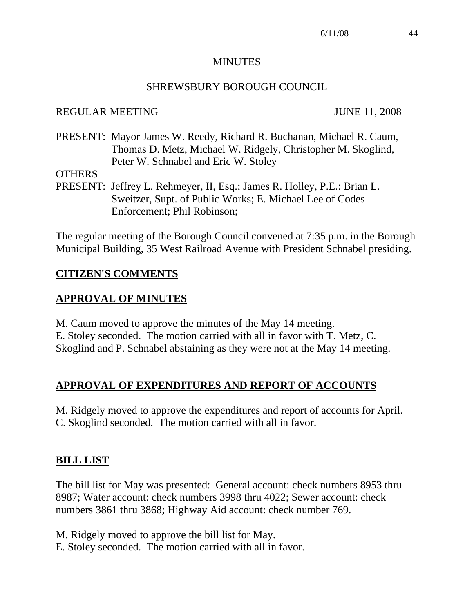#### **MINUTES**

#### SHREWSBURY BOROUGH COUNCIL

### REGULAR MEETING JUNE 11, 2008

PRESENT: Mayor James W. Reedy, Richard R. Buchanan, Michael R. Caum, Thomas D. Metz, Michael W. Ridgely, Christopher M. Skoglind, Peter W. Schnabel and Eric W. Stoley

**OTHERS** 

PRESENT: Jeffrey L. Rehmeyer, II, Esq.; James R. Holley, P.E.: Brian L. Sweitzer, Supt. of Public Works; E. Michael Lee of Codes Enforcement; Phil Robinson;

The regular meeting of the Borough Council convened at 7:35 p.m. in the Borough Municipal Building, 35 West Railroad Avenue with President Schnabel presiding.

## **CITIZEN'S COMMENTS**

### **APPROVAL OF MINUTES**

M. Caum moved to approve the minutes of the May 14 meeting. E. Stoley seconded. The motion carried with all in favor with T. Metz, C. Skoglind and P. Schnabel abstaining as they were not at the May 14 meeting.

### **APPROVAL OF EXPENDITURES AND REPORT OF ACCOUNTS**

M. Ridgely moved to approve the expenditures and report of accounts for April. C. Skoglind seconded. The motion carried with all in favor.

### **BILL LIST**

The bill list for May was presented: General account: check numbers 8953 thru 8987; Water account: check numbers 3998 thru 4022; Sewer account: check numbers 3861 thru 3868; Highway Aid account: check number 769.

M. Ridgely moved to approve the bill list for May.

E. Stoley seconded. The motion carried with all in favor.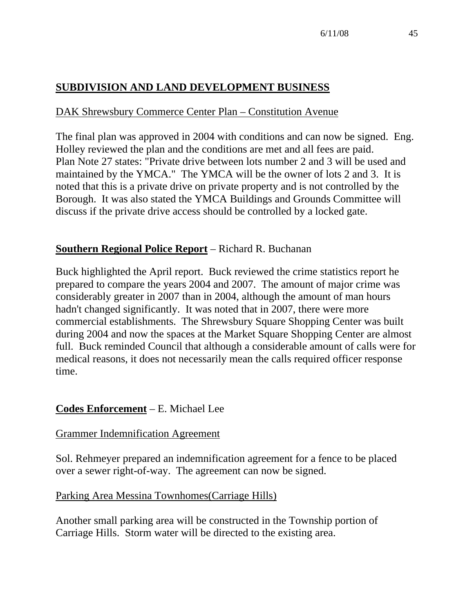## **SUBDIVISION AND LAND DEVELOPMENT BUSINESS**

### DAK Shrewsbury Commerce Center Plan – Constitution Avenue

The final plan was approved in 2004 with conditions and can now be signed. Eng. Holley reviewed the plan and the conditions are met and all fees are paid. Plan Note 27 states: "Private drive between lots number 2 and 3 will be used and maintained by the YMCA." The YMCA will be the owner of lots 2 and 3. It is noted that this is a private drive on private property and is not controlled by the Borough. It was also stated the YMCA Buildings and Grounds Committee will discuss if the private drive access should be controlled by a locked gate.

### **Southern Regional Police Report** – Richard R. Buchanan

Buck highlighted the April report. Buck reviewed the crime statistics report he prepared to compare the years 2004 and 2007. The amount of major crime was considerably greater in 2007 than in 2004, although the amount of man hours hadn't changed significantly. It was noted that in 2007, there were more commercial establishments. The Shrewsbury Square Shopping Center was built during 2004 and now the spaces at the Market Square Shopping Center are almost full. Buck reminded Council that although a considerable amount of calls were for medical reasons, it does not necessarily mean the calls required officer response time.

#### **Codes Enforcement** – E. Michael Lee

#### Grammer Indemnification Agreement

Sol. Rehmeyer prepared an indemnification agreement for a fence to be placed over a sewer right-of-way. The agreement can now be signed.

#### Parking Area Messina Townhomes(Carriage Hills)

Another small parking area will be constructed in the Township portion of Carriage Hills. Storm water will be directed to the existing area.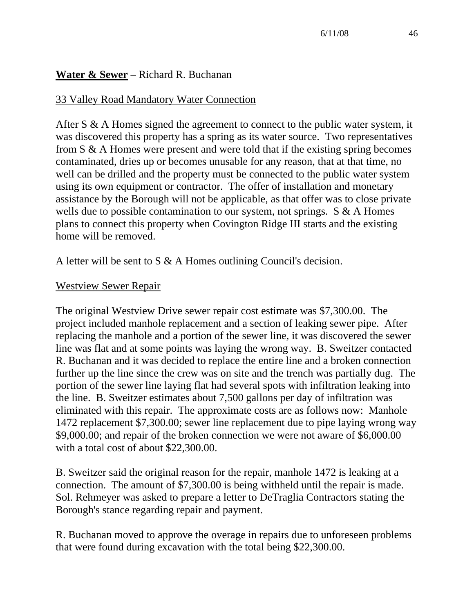### **Water & Sewer** – Richard R. Buchanan

#### 33 Valley Road Mandatory Water Connection

After S & A Homes signed the agreement to connect to the public water system, it was discovered this property has a spring as its water source. Two representatives from S & A Homes were present and were told that if the existing spring becomes contaminated, dries up or becomes unusable for any reason, that at that time, no well can be drilled and the property must be connected to the public water system using its own equipment or contractor. The offer of installation and monetary assistance by the Borough will not be applicable, as that offer was to close private wells due to possible contamination to our system, not springs.  $S \& A$  Homes plans to connect this property when Covington Ridge III starts and the existing home will be removed.

A letter will be sent to S & A Homes outlining Council's decision.

#### Westview Sewer Repair

The original Westview Drive sewer repair cost estimate was \$7,300.00. The project included manhole replacement and a section of leaking sewer pipe. After replacing the manhole and a portion of the sewer line, it was discovered the sewer line was flat and at some points was laying the wrong way. B. Sweitzer contacted R. Buchanan and it was decided to replace the entire line and a broken connection further up the line since the crew was on site and the trench was partially dug. The portion of the sewer line laying flat had several spots with infiltration leaking into the line. B. Sweitzer estimates about 7,500 gallons per day of infiltration was eliminated with this repair. The approximate costs are as follows now: Manhole 1472 replacement \$7,300.00; sewer line replacement due to pipe laying wrong way \$9,000.00; and repair of the broken connection we were not aware of \$6,000.00 with a total cost of about \$22,300.00.

B. Sweitzer said the original reason for the repair, manhole 1472 is leaking at a connection. The amount of \$7,300.00 is being withheld until the repair is made. Sol. Rehmeyer was asked to prepare a letter to DeTraglia Contractors stating the Borough's stance regarding repair and payment.

R. Buchanan moved to approve the overage in repairs due to unforeseen problems that were found during excavation with the total being \$22,300.00.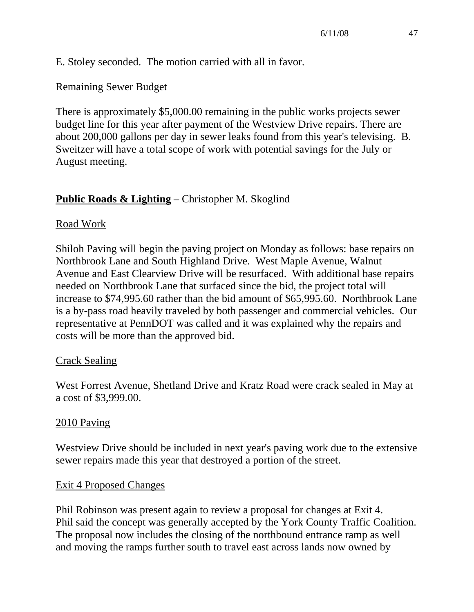E. Stoley seconded. The motion carried with all in favor.

### Remaining Sewer Budget

There is approximately \$5,000.00 remaining in the public works projects sewer budget line for this year after payment of the Westview Drive repairs. There are about 200,000 gallons per day in sewer leaks found from this year's televising. B. Sweitzer will have a total scope of work with potential savings for the July or August meeting.

## **Public Roads & Lighting** – Christopher M. Skoglind

### Road Work

Shiloh Paving will begin the paving project on Monday as follows: base repairs on Northbrook Lane and South Highland Drive. West Maple Avenue, Walnut Avenue and East Clearview Drive will be resurfaced. With additional base repairs needed on Northbrook Lane that surfaced since the bid, the project total will increase to \$74,995.60 rather than the bid amount of \$65,995.60. Northbrook Lane is a by-pass road heavily traveled by both passenger and commercial vehicles. Our representative at PennDOT was called and it was explained why the repairs and costs will be more than the approved bid.

### Crack Sealing

West Forrest Avenue, Shetland Drive and Kratz Road were crack sealed in May at a cost of \$3,999.00.

#### 2010 Paving

Westview Drive should be included in next year's paving work due to the extensive sewer repairs made this year that destroyed a portion of the street.

#### Exit 4 Proposed Changes

Phil Robinson was present again to review a proposal for changes at Exit 4. Phil said the concept was generally accepted by the York County Traffic Coalition. The proposal now includes the closing of the northbound entrance ramp as well and moving the ramps further south to travel east across lands now owned by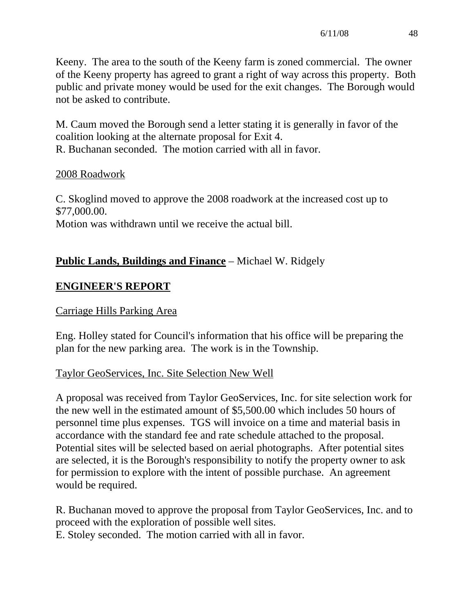Keeny. The area to the south of the Keeny farm is zoned commercial. The owner of the Keeny property has agreed to grant a right of way across this property. Both public and private money would be used for the exit changes. The Borough would not be asked to contribute.

M. Caum moved the Borough send a letter stating it is generally in favor of the coalition looking at the alternate proposal for Exit 4. R. Buchanan seconded. The motion carried with all in favor.

#### 2008 Roadwork

C. Skoglind moved to approve the 2008 roadwork at the increased cost up to \$77,000.00. Motion was withdrawn until we receive the actual bill.

## **Public Lands, Buildings and Finance** – Michael W. Ridgely

## **ENGINEER'S REPORT**

### Carriage Hills Parking Area

Eng. Holley stated for Council's information that his office will be preparing the plan for the new parking area. The work is in the Township.

### Taylor GeoServices, Inc. Site Selection New Well

A proposal was received from Taylor GeoServices, Inc. for site selection work for the new well in the estimated amount of \$5,500.00 which includes 50 hours of personnel time plus expenses. TGS will invoice on a time and material basis in accordance with the standard fee and rate schedule attached to the proposal. Potential sites will be selected based on aerial photographs. After potential sites are selected, it is the Borough's responsibility to notify the property owner to ask for permission to explore with the intent of possible purchase. An agreement would be required.

R. Buchanan moved to approve the proposal from Taylor GeoServices, Inc. and to proceed with the exploration of possible well sites. E. Stoley seconded. The motion carried with all in favor.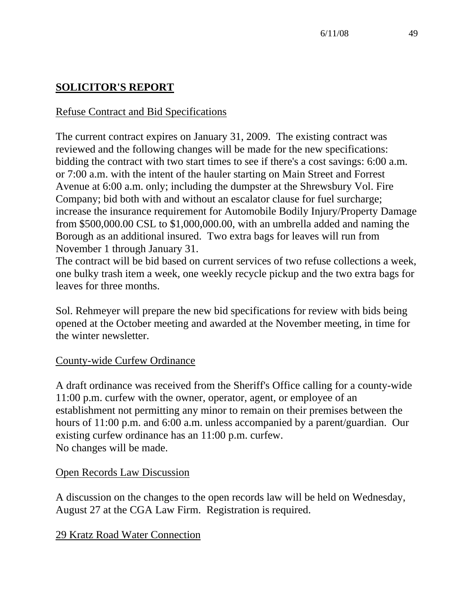# **SOLICITOR'S REPORT**

### Refuse Contract and Bid Specifications

The current contract expires on January 31, 2009. The existing contract was reviewed and the following changes will be made for the new specifications: bidding the contract with two start times to see if there's a cost savings: 6:00 a.m. or 7:00 a.m. with the intent of the hauler starting on Main Street and Forrest Avenue at 6:00 a.m. only; including the dumpster at the Shrewsbury Vol. Fire Company; bid both with and without an escalator clause for fuel surcharge; increase the insurance requirement for Automobile Bodily Injury/Property Damage from \$500,000.00 CSL to \$1,000,000.00, with an umbrella added and naming the Borough as an additional insured. Two extra bags for leaves will run from November 1 through January 31.

The contract will be bid based on current services of two refuse collections a week, one bulky trash item a week, one weekly recycle pickup and the two extra bags for leaves for three months.

Sol. Rehmeyer will prepare the new bid specifications for review with bids being opened at the October meeting and awarded at the November meeting, in time for the winter newsletter.

#### County-wide Curfew Ordinance

A draft ordinance was received from the Sheriff's Office calling for a county-wide 11:00 p.m. curfew with the owner, operator, agent, or employee of an establishment not permitting any minor to remain on their premises between the hours of 11:00 p.m. and 6:00 a.m. unless accompanied by a parent/guardian. Our existing curfew ordinance has an 11:00 p.m. curfew. No changes will be made.

#### Open Records Law Discussion

A discussion on the changes to the open records law will be held on Wednesday, August 27 at the CGA Law Firm. Registration is required.

#### 29 Kratz Road Water Connection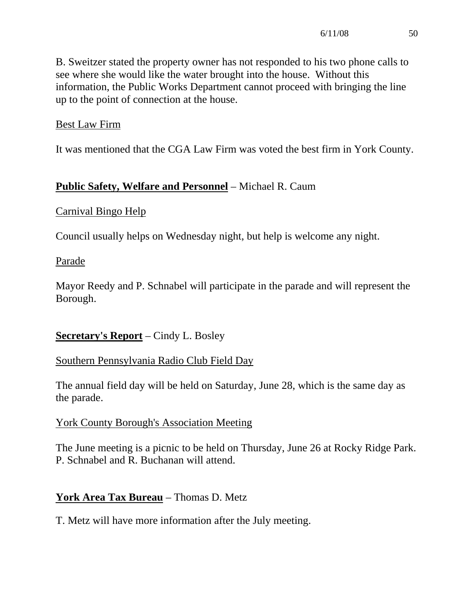B. Sweitzer stated the property owner has not responded to his two phone calls to see where she would like the water brought into the house. Without this information, the Public Works Department cannot proceed with bringing the line up to the point of connection at the house.

### Best Law Firm

It was mentioned that the CGA Law Firm was voted the best firm in York County.

### **Public Safety, Welfare and Personnel** – Michael R. Caum

### Carnival Bingo Help

Council usually helps on Wednesday night, but help is welcome any night.

#### Parade

Mayor Reedy and P. Schnabel will participate in the parade and will represent the Borough.

### **Secretary's Report** – Cindy L. Bosley

### Southern Pennsylvania Radio Club Field Day

The annual field day will be held on Saturday, June 28, which is the same day as the parade.

### York County Borough's Association Meeting

The June meeting is a picnic to be held on Thursday, June 26 at Rocky Ridge Park. P. Schnabel and R. Buchanan will attend.

### **York Area Tax Bureau** – Thomas D. Metz

T. Metz will have more information after the July meeting.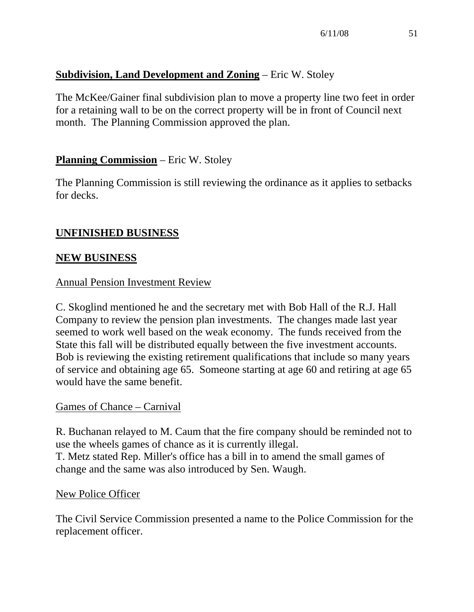## **Subdivision, Land Development and Zoning** – Eric W. Stoley

The McKee/Gainer final subdivision plan to move a property line two feet in order for a retaining wall to be on the correct property will be in front of Council next month. The Planning Commission approved the plan.

### **Planning Commission** – Eric W. Stoley

The Planning Commission is still reviewing the ordinance as it applies to setbacks for decks.

### **UNFINISHED BUSINESS**

### **NEW BUSINESS**

#### Annual Pension Investment Review

C. Skoglind mentioned he and the secretary met with Bob Hall of the R.J. Hall Company to review the pension plan investments. The changes made last year seemed to work well based on the weak economy. The funds received from the State this fall will be distributed equally between the five investment accounts. Bob is reviewing the existing retirement qualifications that include so many years of service and obtaining age 65. Someone starting at age 60 and retiring at age 65 would have the same benefit.

#### Games of Chance – Carnival

R. Buchanan relayed to M. Caum that the fire company should be reminded not to use the wheels games of chance as it is currently illegal. T. Metz stated Rep. Miller's office has a bill in to amend the small games of change and the same was also introduced by Sen. Waugh.

#### New Police Officer

The Civil Service Commission presented a name to the Police Commission for the replacement officer.